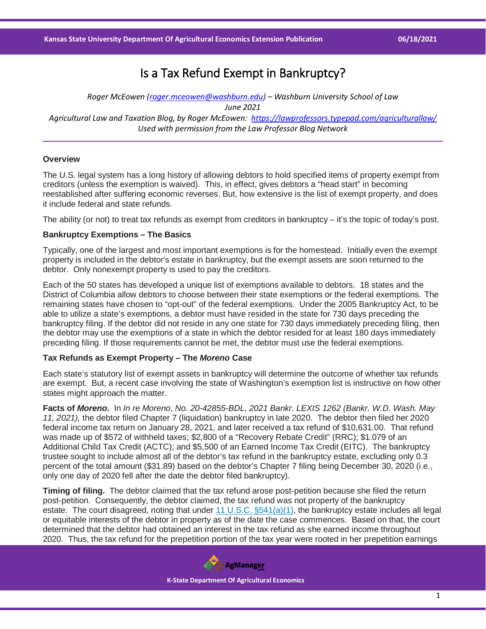# Is a Tax Refund Exempt in Bankruptcy?

*Roger McEowen [\(roger.mceowen@washburn.edu\)](mailto:roger.mceowen@washburn.edu) – Washburn University School of Law June 2021 Agricultural Law and Taxation Blog, by Roger McEowen:<https://lawprofessors.typepad.com/agriculturallaw/> Used with permission from the Law Professor Blog Network*

## **Overview**

The U.S. legal system has a long history of allowing debtors to hold specified items of property exempt from creditors (unless the exemption is waived). This, in effect, gives debtors a "head start" in becoming reestablished after suffering economic reverses. But, how extensive is the list of exempt property, and does it include federal and state refunds.

The ability (or not) to treat tax refunds as exempt from creditors in bankruptcy – it's the topic of today's post.

#### **Bankruptcy Exemptions – The Basics**

Typically, one of the largest and most important exemptions is for the homestead. Initially even the exempt property is included in the debtor's estate in bankruptcy, but the exempt assets are soon returned to the debtor. Only nonexempt property is used to pay the creditors.

Each of the 50 states has developed a unique list of exemptions available to debtors. 18 states and the District of Columbia allow debtors to choose between their state exemptions or the federal exemptions. The remaining states have chosen to "opt-out" of the federal exemptions. Under the 2005 Bankruptcy Act, to be able to utilize a state's exemptions, a debtor must have resided in the state for 730 days preceding the bankruptcy filing. If the debtor did not reside in any one state for 730 days immediately preceding filing, then the debtor may use the exemptions of a state in which the debtor resided for at least 180 days immediately preceding filing. If those requirements cannot be met, the debtor must use the federal exemptions.

## **Tax Refunds as Exempt Property – The** *Moreno* **Case**

Each state's statutory list of exempt assets in bankruptcy will determine the outcome of whether tax refunds are exempt. But, a recent case involving the state of Washington's exemption list is instructive on how other states might approach the matter.

**Facts of** *Moreno***.** In *In re Moreno*, *No. 20-42855-BDL, 2021 Bankr. LEXIS 1262 (Bankr. W.D. Wash. May 11, 2021),* the debtor filed Chapter 7 (liquidation) bankruptcy in late 2020. The debtor then filed her 2020 federal income tax return on January 28, 2021, and later received a tax refund of \$10,631.00. That refund was made up of \$572 of withheld taxes; \$2,800 of a "Recovery Rebate Credit" (RRC); \$1.079 of an Additional Child Tax Credit (ACTC); and \$5,500 of an Earned Income Tax Credit (EITC). The bankruptcy trustee sought to include almost all of the debtor's tax refund in the bankruptcy estate, excluding only 0.3 percent of the total amount (\$31.89) based on the debtor's Chapter 7 filing being December 30, 2020 (i.e., only one day of 2020 fell after the date the debtor filed bankruptcy).

**Timing of filing.** The debtor claimed that the tax refund arose post-petition because she filed the return post-petition. Consequently, the debtor claimed, the tax refund was not property of the bankruptcy estate. The court disagreed, noting that under [11 U.S.C. §541\(a\)\(1\),](https://casetext.com/statute/united-states-code/title-11-bankruptcy/chapter-5-creditors-the-debtor-and-the-estate/subchapter-iii-the-estate/section-541-property-of-the-estate?ref=ArRBZs!oCL0tZ) the bankruptcy estate includes all legal or equitable interests of the debtor in property as of the date the case commences. Based on that, the court determined that the debtor had obtained an interest in the tax refund as she earned income throughout 2020. Thus, the tax refund for the prepetition portion of the tax year were rooted in her prepetition earnings

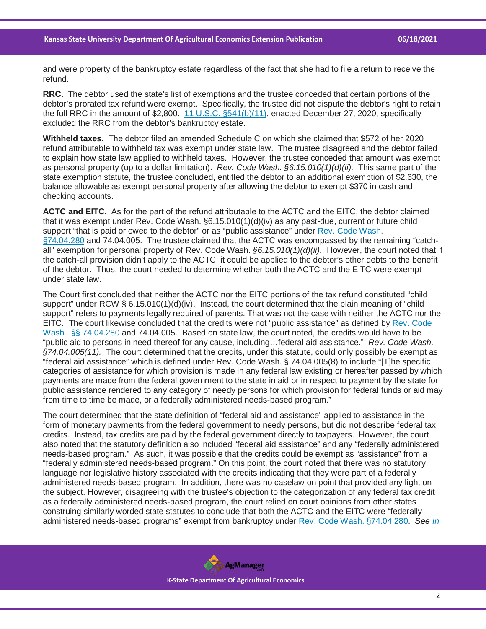and were property of the bankruptcy estate regardless of the fact that she had to file a return to receive the refund.

**RRC.** The debtor used the state's list of exemptions and the trustee conceded that certain portions of the debtor's prorated tax refund were exempt. Specifically, the trustee did not dispute the debtor's right to retain the full RRC in the amount of \$2,800. [11 U.S.C. §541\(b\)\(11\),](https://casetext.com/statute/united-states-code/title-11-bankruptcy/chapter-5-creditors-the-debtor-and-the-estate/subchapter-iii-the-estate/section-541-property-of-the-estate?ref=ArRBZs!oCL0tZ) enacted December 27, 2020, specifically excluded the RRC from the debtor's bankruptcy estate.

**Withheld taxes.** The debtor filed an amended Schedule C on which she claimed that \$572 of her 2020 refund attributable to withheld tax was exempt under state law. The trustee disagreed and the debtor failed to explain how state law applied to withheld taxes. However, the trustee conceded that amount was exempt as personal property (up to a dollar limitation). *Rev. Code Wash. §6.15.010(1)(d)(ii).* This same part of the state exemption statute, the trustee concluded, entitled the debtor to an additional exemption of \$2,630, the balance allowable as exempt personal property after allowing the debtor to exempt \$370 in cash and checking accounts.

**ACTC and EITC.** As for the part of the refund attributable to the ACTC and the EITC, the debtor claimed that it was exempt under Rev. Code Wash. §6.15.010(1)(d)(iv) as any past-due, current or future child support "that is paid or owed to the debtor" or as "public assistance" under [Rev. Code Wash.](https://casetext.com/statute/revised-code-of-washington/title-74-public-assistance/chapter-7404-general-provisions-administration/section-7404280-assistance-nontransferable-and-exempt-from-process?ref=ArRBZs!BlcSap)  [§74.04.280](https://casetext.com/statute/revised-code-of-washington/title-74-public-assistance/chapter-7404-general-provisions-administration/section-7404280-assistance-nontransferable-and-exempt-from-process?ref=ArRBZs!BlcSap) and 74.04.005. The trustee claimed that the ACTC was encompassed by the remaining "catchall" exemption for personal property of Rev. Code Wash. *§6.15.010(1)(d)(ii).* However, the court noted that if the catch-all provision didn't apply to the ACTC, it could be applied to the debtor's other debts to the benefit of the debtor. Thus, the court needed to determine whether both the ACTC and the EITC were exempt under state law.

The Court first concluded that neither the ACTC nor the EITC portions of the tax refund constituted "child support" under RCW § 6.15.010(1)(d)(iv). Instead, the court determined that the plain meaning of "child" support" refers to payments legally required of parents. That was not the case with neither the ACTC nor the EITC. The court likewise concluded that the credits were not "public assistance" as defined by Rev. Code [Wash. §§ 74.04.280](https://casetext.com/statute/revised-code-of-washington/title-74-public-assistance/chapter-7404-general-provisions-administration/section-7404280-assistance-nontransferable-and-exempt-from-process?ref=ArRBZs!BlcSap) and 74.04.005. Based on state law, the court noted, the credits would have to be "public aid to persons in need thereof for any cause, including…federal aid assistance." *Rev. Code Wash. §74.04.005(11).* The court determined that the credits, under this statute, could only possibly be exempt as "federal aid assistance" which is defined under Rev. Code Wash. § 74.04.005(8) to include "[T]he specific categories of assistance for which provision is made in any federal law existing or hereafter passed by which payments are made from the federal government to the state in aid or in respect to payment by the state for public assistance rendered to any category of needy persons for which provision for federal funds or aid may from time to time be made, or a federally administered needs-based program."

The court determined that the state definition of "federal aid and assistance" applied to assistance in the form of monetary payments from the federal government to needy persons, but did not describe federal tax credits. Instead, tax credits are paid by the federal government directly to taxpayers. However, the court also noted that the statutory definition also included "federal aid assistance" and any "federally administered needs-based program." As such, it was possible that the credits could be exempt as "assistance" from a "federally administered needs-based program." On this point, the court noted that there was no statutory language nor legislative history associated with the credits indicating that they were part of a federally administered needs-based program. In addition, there was no caselaw on point that provided any light on the subject. However, disagreeing with the trustee's objection to the categorization of any federal tax credit as a federally administered needs-based program, the court relied on court opinions from other states construing similarly worded state statutes to conclude that both the ACTC and the EITC were "federally administered needs-based programs" exempt from bankruptcy under [Rev. Code Wash. §74.04.280.](https://casetext.com/statute/revised-code-of-washington/title-74-public-assistance/chapter-7404-general-provisions-administration/section-7404280-assistance-nontransferable-and-exempt-from-process?ref=ArRBZs!BlcSap) *See [In](https://casetext.com/case/in-re-farnsworth-11?ref=ArRBZs!s26apc)*